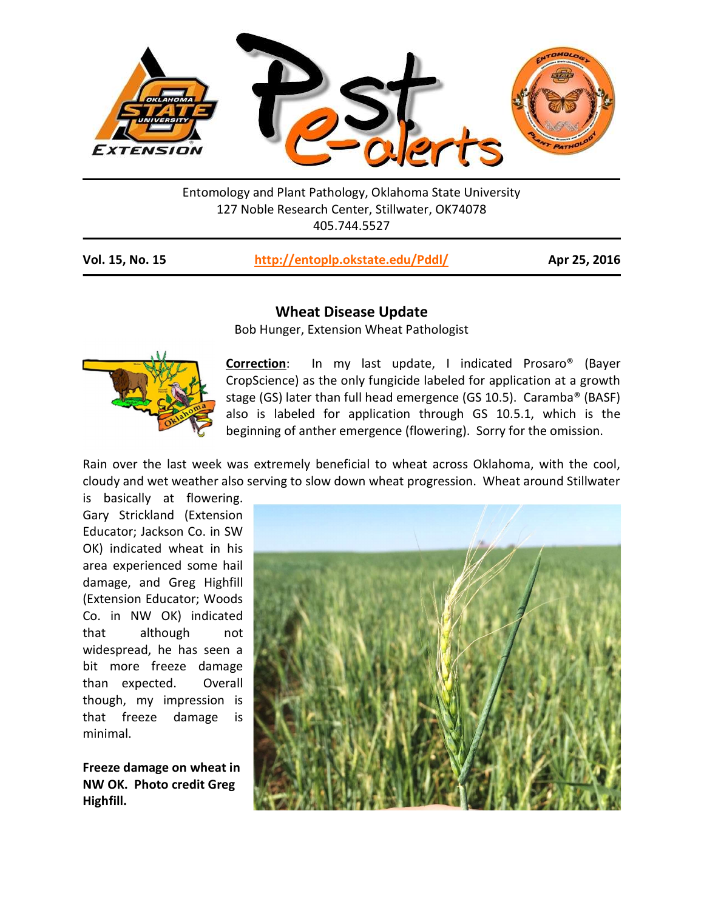

Entomology and Plant Pathology, Oklahoma State University 127 Noble Research Center, Stillwater, OK74078 405.744.5527

| Vol. 15, No. 15 | http://entoplp.okstate.edu/Pddl/ |  |
|-----------------|----------------------------------|--|
|-----------------|----------------------------------|--|

Apr 25, 2016

## Wheat Disease Update

Bob Hunger, Extension Wheat Pathologist



-

Correction: In my last update, I indicated Prosaro<sup>®</sup> (Bayer CropScience) as the only fungicide labeled for application at a growth stage (GS) later than full head emergence (GS 10.5). Caramba® (BASF) also is labeled for application through GS 10.5.1, which is the beginning of anther emergence (flowering). Sorry for the omission.

Rain over the last week was extremely beneficial to wheat across Oklahoma, with the cool, cloudy and wet weather also serving to slow down wheat progression. Wheat around Stillwater

is basically at flowering. Gary Strickland (Extension Educator; Jackson Co. in SW OK) indicated wheat in his area experienced some hail damage, and Greg Highfill (Extension Educator; Woods Co. in NW OK) indicated that although not widespread, he has seen a bit more freeze damage than expected. Overall though, my impression is that freeze damage is minimal.

Freeze damage on wheat in NW OK. Photo credit Greg Highfill.

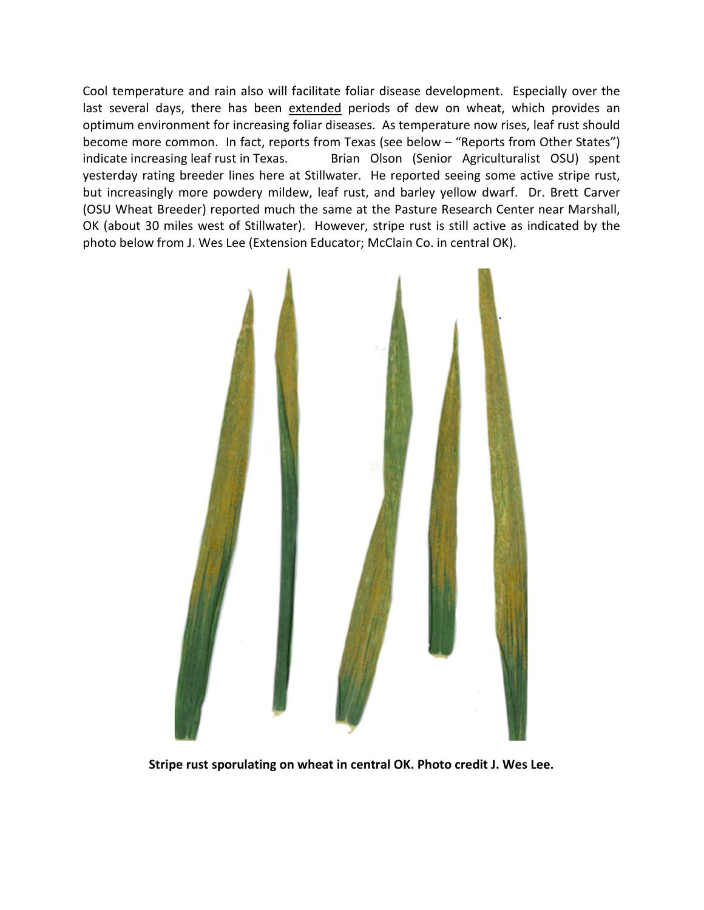Cool temperature and rain also will facilitate foliar disease development. Especially over the last several days, there has been extended periods of dew on wheat, which provides an optimum environment for increasing foliar diseases. As temperature now rises, leaf rust should become more common. In fact, reports from Texas (see below – "Reports from Other States") indicate increasing leaf rust in Texas. Brian Olson (Senior Agriculturalist OSU) spent yesterday rating breeder lines here at Stillwater. He reported seeing some active stripe rust, but increasingly more powdery mildew, leaf rust, and barley yellow dwarf. Dr. Brett Carver (OSU Wheat Breeder) reported much the same at the Pasture Research Center near Marshall, OK (about 30 miles west of Stillwater). However, stripe rust is still active as indicated by the photo below from J. Wes Lee (Extension Educator; McClain Co. in central OK).



Stripe rust sporulating on wheat in central OK. Photo credit J. Wes Lee.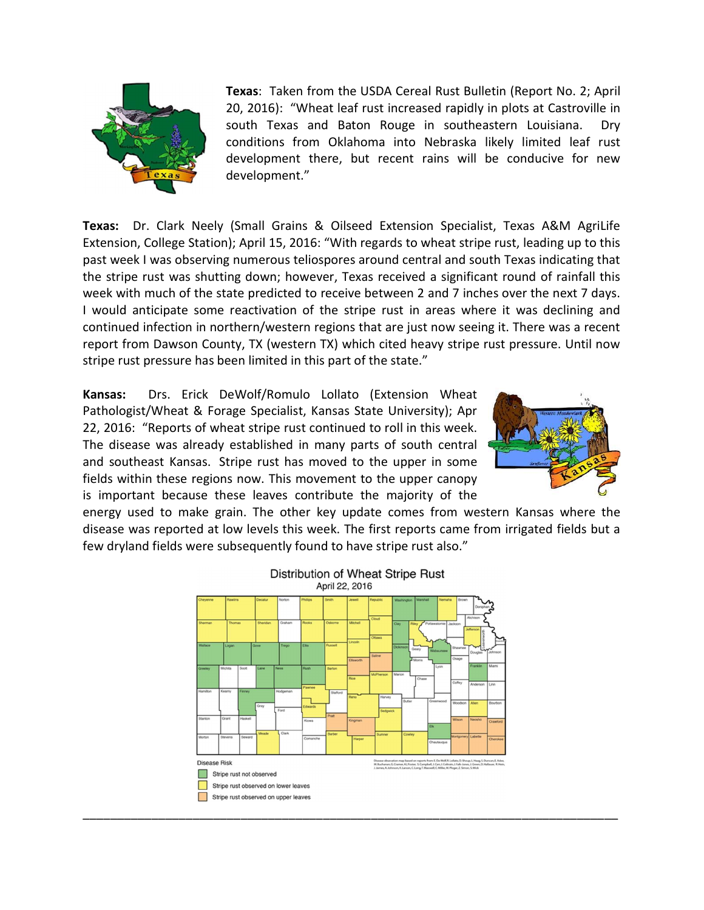

Texas: Taken from the USDA Cereal Rust Bulletin (Report No. 2; April 20, 2016): "Wheat leaf rust increased rapidly in plots at Castroville in south Texas and Baton Rouge in southeastern Louisiana. Dry conditions from Oklahoma into Nebraska likely limited leaf rust development there, but recent rains will be conducive for new development."

Texas: Dr. Clark Neely (Small Grains & Oilseed Extension Specialist, Texas A&M AgriLife Extension, College Station); April 15, 2016: "With regards to wheat stripe rust, leading up to this past week I was observing numerous teliospores around central and south Texas indicating that the stripe rust was shutting down; however, Texas received a significant round of rainfall this week with much of the state predicted to receive between 2 and 7 inches over the next 7 days. I would anticipate some reactivation of the stripe rust in areas where it was declining and continued infection in northern/western regions that are just now seeing it. There was a recent report from Dawson County, TX (western TX) which cited heavy stripe rust pressure. Until now stripe rust pressure has been limited in this part of the state."

Kansas: Drs. Erick DeWolf/Romulo Lollato (Extension Wheat Pathologist/Wheat & Forage Specialist, Kansas State University); Apr 22, 2016: "Reports of wheat stripe rust continued to roll in this week. The disease was already established in many parts of south central and southeast Kansas. Stripe rust has moved to the upper in some fields within these regions now. This movement to the upper canopy is important because these leaves contribute the majority of the



energy used to make grain. The other key update comes from western Kansas where the disease was reported at low levels this week. The first reports came from irrigated fields but a few dryland fields were subsequently found to have stripe rust also."

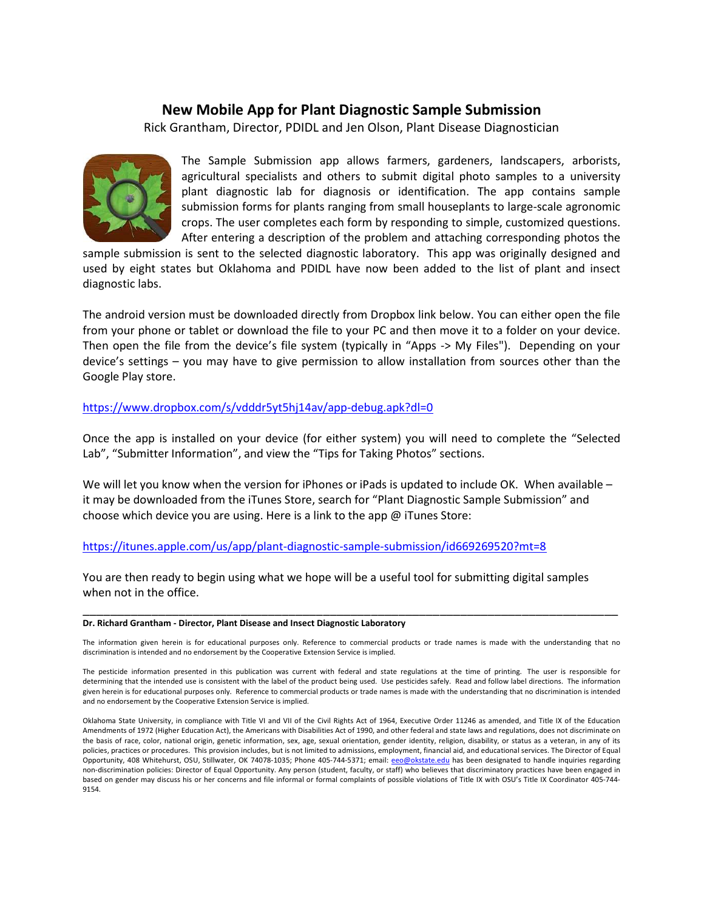## New Mobile App for Plant Diagnostic Sample Submission

Rick Grantham, Director, PDIDL and Jen Olson, Plant Disease Diagnostician



The Sample Submission app allows farmers, gardeners, landscapers, arborists, agricultural specialists and others to submit digital photo samples to a university plant diagnostic lab for diagnosis or identification. The app contains sample submission forms for plants ranging from small houseplants to large-scale agronomic crops. The user completes each form by responding to simple, customized questions. After entering a description of the problem and attaching corresponding photos the

sample submission is sent to the selected diagnostic laboratory. This app was originally designed and used by eight states but Oklahoma and PDIDL have now been added to the list of plant and insect diagnostic labs.

The android version must be downloaded directly from Dropbox link below. You can either open the file from your phone or tablet or download the file to your PC and then move it to a folder on your device. Then open the file from the device's file system (typically in "Apps -> My Files"). Depending on your device's settings – you may have to give permission to allow installation from sources other than the Google Play store.

https://www.dropbox.com/s/vdddr5yt5hj14av/app-debug.apk?dl=0

Once the app is installed on your device (for either system) you will need to complete the "Selected Lab", "Submitter Information", and view the "Tips for Taking Photos" sections.

We will let you know when the version for iPhones or iPads is updated to include OK. When available – it may be downloaded from the iTunes Store, search for "Plant Diagnostic Sample Submission" and choose which device you are using. Here is a link to the app @ iTunes Store:

## https://itunes.apple.com/us/app/plant-diagnostic-sample-submission/id669269520?mt=8

You are then ready to begin using what we hope will be a useful tool for submitting digital samples when not in the office.

## Dr. Richard Grantham - Director, Plant Disease and Insect Diagnostic Laboratory

The information given herein is for educational purposes only. Reference to commercial products or trade names is made with the understanding that no discrimination is intended and no endorsement by the Cooperative Extension Service is implied.

\_\_\_\_\_\_\_\_\_\_\_\_\_\_\_\_\_\_\_\_\_\_\_\_\_\_\_\_\_\_\_\_\_\_\_\_\_\_\_\_\_\_\_\_\_\_\_\_\_\_\_\_\_\_\_\_\_\_\_\_\_\_\_\_\_\_\_\_\_\_\_\_\_\_\_\_\_\_

The pesticide information presented in this publication was current with federal and state regulations at the time of printing. The user is responsible for determining that the intended use is consistent with the label of the product being used. Use pesticides safely. Read and follow label directions. The information given herein is for educational purposes only. Reference to commercial products or trade names is made with the understanding that no discrimination is intended and no endorsement by the Cooperative Extension Service is implied.

Oklahoma State University, in compliance with Title VI and VII of the Civil Rights Act of 1964, Executive Order 11246 as amended, and Title IX of the Education Amendments of 1972 (Higher Education Act), the Americans with Disabilities Act of 1990, and other federal and state laws and regulations, does not discriminate on the basis of race, color, national origin, genetic information, sex, age, sexual orientation, gender identity, religion, disability, or status as a veteran, in any of its policies, practices or procedures. This provision includes, but is not limited to admissions, employment, financial aid, and educational services. The Director of Equal Opportunity, 408 Whitehurst, OSU, Stillwater, OK 74078-1035; Phone 405-744-5371; email: eo@okstate.edu has been designated to handle inquiries regarding non-discrimination policies: Director of Equal Opportunity. Any person (student, faculty, or staff) who believes that discriminatory practices have been engaged in based on gender may discuss his or her concerns and file informal or formal complaints of possible violations of Title IX with OSU's Title IX Coordinator 405-744- 9154.